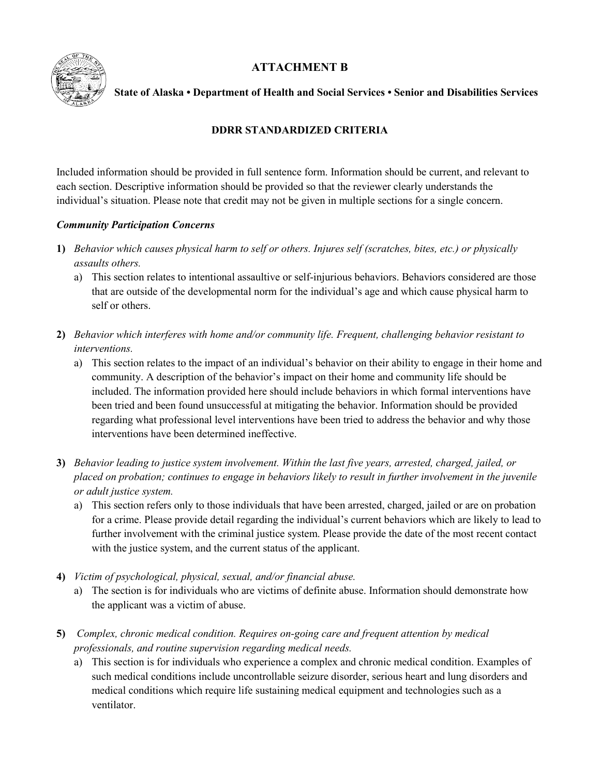

# **ATTACHMENT B**

## **State of Alaska • Department of Health and Social Services • Senior and Disabilities Services**

## **DDRR STANDARDIZED CRITERIA**

Included information should be provided in full sentence form. Information should be current, and relevant to each section. Descriptive information should be provided so that the reviewer clearly understands the individual's situation. Please note that credit may not be given in multiple sections for a single concern.

## *Community Participation Concerns*

- **1)** *Behavior which causes physical harm to self or others. Injures self (scratches, bites, etc.) or physically assaults others.* 
	- a) This section relates to intentional assaultive or self-injurious behaviors. Behaviors considered are those that are outside of the developmental norm for the individual's age and which cause physical harm to self or others.
- **2)** *Behavior which interferes with home and/or community life. Frequent, challenging behavior resistant to interventions.*
	- a) This section relates to the impact of an individual's behavior on their ability to engage in their home and community. A description of the behavior's impact on their home and community life should be included. The information provided here should include behaviors in which formal interventions have been tried and been found unsuccessful at mitigating the behavior. Information should be provided regarding what professional level interventions have been tried to address the behavior and why those interventions have been determined ineffective.
- **3)** *Behavior leading to justice system involvement. Within the last five years, arrested, charged, jailed, or placed on probation; continues to engage in behaviors likely to result in further involvement in the juvenile or adult justice system.*
	- a) This section refers only to those individuals that have been arrested, charged, jailed or are on probation for a crime. Please provide detail regarding the individual's current behaviors which are likely to lead to further involvement with the criminal justice system. Please provide the date of the most recent contact with the justice system, and the current status of the applicant.
- **4)** *Victim of psychological, physical, sexual, and/or financial abuse.*
	- a) The section is for individuals who are victims of definite abuse. Information should demonstrate how the applicant was a victim of abuse.
- **5)** *Complex, chronic medical condition. Requires on-going care and frequent attention by medical professionals, and routine supervision regarding medical needs.*
	- a) This section is for individuals who experience a complex and chronic medical condition. Examples of such medical conditions include uncontrollable seizure disorder, serious heart and lung disorders and medical conditions which require life sustaining medical equipment and technologies such as a ventilator.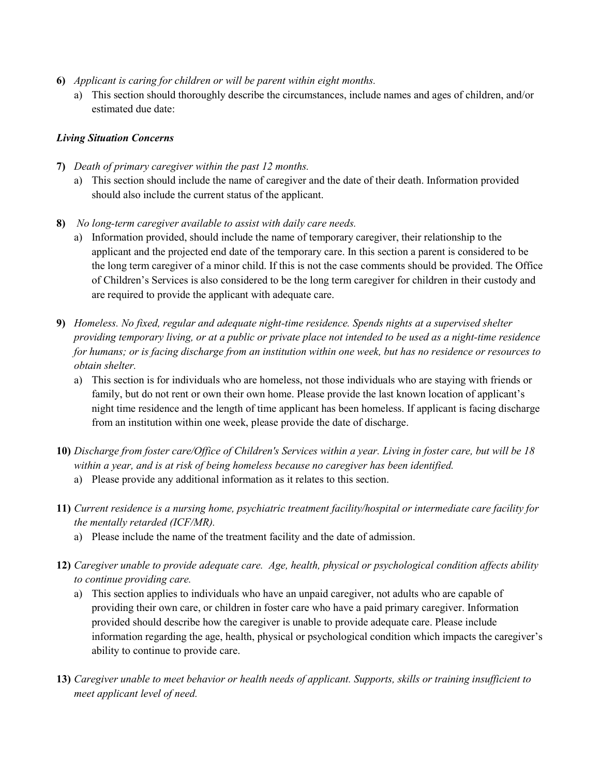- **6)** *Applicant is caring for children or will be parent within eight months.* 
	- a) This section should thoroughly describe the circumstances, include names and ages of children, and/or estimated due date:

## *Living Situation Concerns*

- **7)** *Death of primary caregiver within the past 12 months.* 
	- a) This section should include the name of caregiver and the date of their death. Information provided should also include the current status of the applicant.
- **8)** *No long-term caregiver available to assist with daily care needs.*
	- a) Information provided, should include the name of temporary caregiver, their relationship to the applicant and the projected end date of the temporary care. In this section a parent is considered to be the long term caregiver of a minor child. If this is not the case comments should be provided. The Office of Children's Services is also considered to be the long term caregiver for children in their custody and are required to provide the applicant with adequate care.
- **9)** *Homeless. No fixed, regular and adequate night-time residence. Spends nights at a supervised shelter providing temporary living, or at a public or private place not intended to be used as a night-time residence for humans; or is facing discharge from an institution within one week, but has no residence or resources to obtain shelter.*
	- a) This section is for individuals who are homeless, not those individuals who are staying with friends or family, but do not rent or own their own home. Please provide the last known location of applicant's night time residence and the length of time applicant has been homeless. If applicant is facing discharge from an institution within one week, please provide the date of discharge.
- **10)** *Discharge from foster care/Office of Children's Services within a year. Living in foster care, but will be 18 within a year, and is at risk of being homeless because no caregiver has been identified.* 
	- a) Please provide any additional information as it relates to this section.
- **11)** *Current residence is a nursing home, psychiatric treatment facility/hospital or intermediate care facility for the mentally retarded (ICF/MR).*
	- a) Please include the name of the treatment facility and the date of admission.
- **12)** *Caregiver unable to provide adequate care. Age, health, physical or psychological condition affects ability to continue providing care.*
	- a) This section applies to individuals who have an unpaid caregiver, not adults who are capable of providing their own care, or children in foster care who have a paid primary caregiver. Information provided should describe how the caregiver is unable to provide adequate care. Please include information regarding the age, health, physical or psychological condition which impacts the caregiver's ability to continue to provide care.
- **13)** *Caregiver unable to meet behavior or health needs of applicant. Supports, skills or training insufficient to meet applicant level of need.*